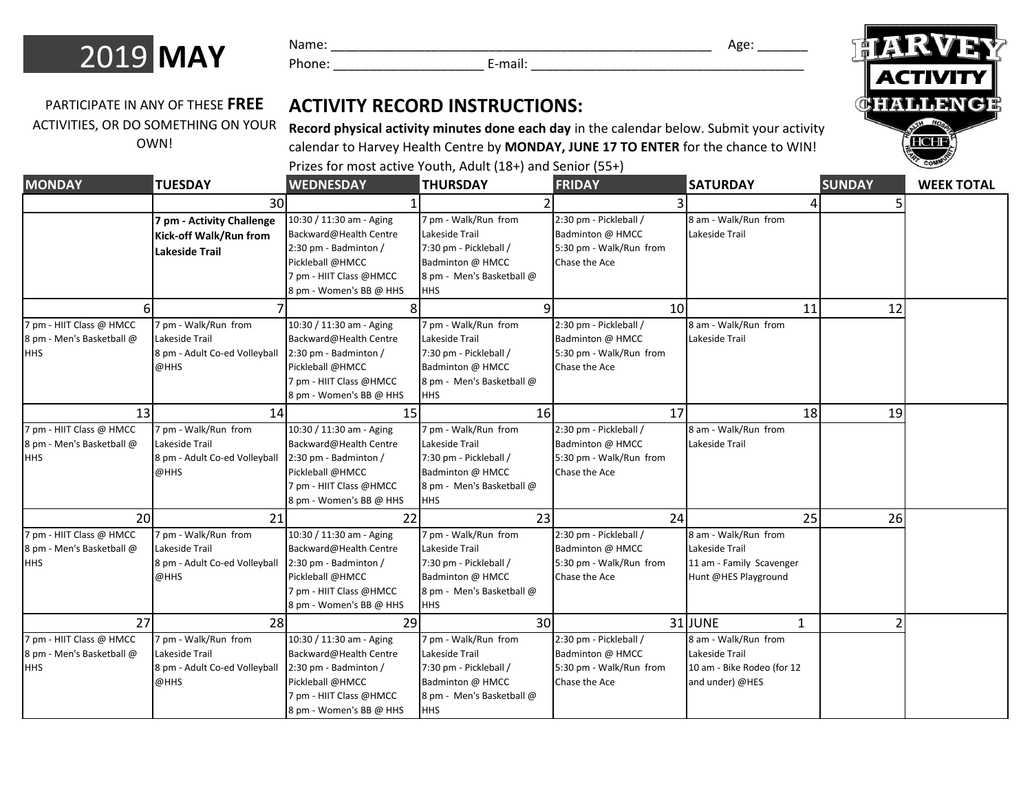

Name: \_\_\_\_\_\_\_\_\_\_\_\_\_\_\_\_\_\_\_\_\_\_\_\_\_\_\_\_\_\_\_\_\_\_\_\_\_\_\_\_\_\_\_\_\_\_\_\_\_\_\_\_\_ Age: \_\_\_\_\_\_\_

Phone: \_\_\_\_\_\_\_\_\_\_\_\_\_\_\_\_\_\_\_\_\_ E-mail: \_\_\_\_\_\_\_\_\_\_\_\_\_\_\_\_\_\_\_\_\_\_\_\_\_\_\_\_\_\_\_\_\_\_\_\_\_\_

PARTICIPATE IN ANY OF THESE **FREE**  ACTIVITIES, OR DO SOMETHING ON YOUR OWN!

## **ACTIVITY RECORD INSTRUCTIONS:**

**Record physical activity minutes done each day** in the calendar below. Submit your activity calendar to Harvey Health Centre by **MONDAY, JUNE 17 TO ENTER** for the chance to WIN!

Prizes for most active Youth, Adult (18+) and Senior (55+)

| <b>MONDAY</b>             | <b>TUESDAY</b>                | <b>WEDNESDAY</b>         | <b>THURSDAY</b>           | <b>FRIDAY</b>           | <b>SATURDAY</b>            | <b>SUNDAY</b> | <b>WEEK TOTAL</b> |
|---------------------------|-------------------------------|--------------------------|---------------------------|-------------------------|----------------------------|---------------|-------------------|
|                           | 30                            |                          |                           |                         |                            |               |                   |
|                           | 7 pm - Activity Challenge     | 10:30 / 11:30 am - Aging | 7 pm - Walk/Run from      | 2:30 pm - Pickleball /  | 8 am - Walk/Run from       |               |                   |
|                           | Kick-off Walk/Run from        | Backward@Health Centre   | Lakeside Trail            | Badminton @ HMCC        | Lakeside Trail             |               |                   |
|                           | <b>Lakeside Trail</b>         | 2:30 pm - Badminton /    | 7:30 pm - Pickleball /    | 5:30 pm - Walk/Run from |                            |               |                   |
|                           |                               | Pickleball @HMCC         | Badminton @ HMCC          | Chase the Ace           |                            |               |                   |
|                           |                               | 7 pm - HIIT Class @HMCC  | 8 pm - Men's Basketball @ |                         |                            |               |                   |
|                           |                               | 8 pm - Women's BB @ HHS  | HHS                       |                         |                            |               |                   |
|                           |                               |                          |                           | 10                      | 11                         | 12            |                   |
| 7 pm - HIIT Class @ HMCC  | 7 pm - Walk/Run from          | 10:30 / 11:30 am - Aging | 7 pm - Walk/Run from      | 2:30 pm - Pickleball /  | 8 am - Walk/Run from       |               |                   |
| 8 pm - Men's Basketball @ | Lakeside Trail                | Backward@Health Centre   | Lakeside Trail            | Badminton @ HMCC        | Lakeside Trail             |               |                   |
| HHS                       | 8 pm - Adult Co-ed Volleyball | 2:30 pm - Badminton /    | 7:30 pm - Pickleball /    | 5:30 pm - Walk/Run from |                            |               |                   |
|                           | @HHS                          | Pickleball @HMCC         | Badminton @ HMCC          | Chase the Ace           |                            |               |                   |
|                           |                               | 7 pm - HIIT Class @HMCC  | 8 pm - Men's Basketball @ |                         |                            |               |                   |
|                           |                               | 8 pm - Women's BB @ HHS  | <b>HHS</b>                |                         |                            |               |                   |
| 13                        | 14                            | 15                       | 16                        | 17                      | 18                         | 19            |                   |
| 7 pm - HIIT Class @ HMCC  | 7 pm - Walk/Run from          | 10:30 / 11:30 am - Aging | m - Walk/Run from         | 2:30 pm - Pickleball /  | 8 am - Walk/Run from       |               |                   |
| 8 pm - Men's Basketball @ | Lakeside Trail                | Backward@Health Centre   | Lakeside Trail            | Badminton @ HMCC        | Lakeside Trail             |               |                   |
| HHS                       | 8 pm - Adult Co-ed Volleyball | 2:30 pm - Badminton /    | 7:30 pm - Pickleball /    | 5:30 pm - Walk/Run from |                            |               |                   |
|                           | @HHS                          | Pickleball @HMCC         | Badminton @ HMCC          | Chase the Ace           |                            |               |                   |
|                           |                               | 7 pm - HIIT Class @HMCC  | 8 pm - Men's Basketball @ |                         |                            |               |                   |
|                           |                               | 8 pm - Women's BB @ HHS  | HHS                       |                         |                            |               |                   |
| <b>20</b>                 | 21                            | 22                       | 23                        | 24                      | 25                         | 26            |                   |
| 7 pm - HIIT Class @ HMCC  | 7 pm - Walk/Run from          | 10:30 / 11:30 am - Aging | 7 pm - Walk/Run from      | 2:30 pm - Pickleball /  | 8 am - Walk/Run from       |               |                   |
| 8 pm - Men's Basketball @ | Lakeside Trail                | Backward@Health Centre   | Lakeside Trail            | Badminton @ HMCC        | Lakeside Trail             |               |                   |
| HHS                       | 8 pm - Adult Co-ed Volleyball | 2:30 pm - Badminton /    | 7:30 pm - Pickleball /    | 5:30 pm - Walk/Run from | 11 am - Family Scavenger   |               |                   |
|                           | @HHS                          | Pickleball @HMCC         | Badminton @ HMCC          | Chase the Ace           | Hunt @HES Playground       |               |                   |
|                           |                               | 7 pm - HIIT Class @HMCC  | 8 pm - Men's Basketball @ |                         |                            |               |                   |
|                           |                               | 8 pm - Women's BB @ HHS  | HHS                       |                         |                            |               |                   |
| 27                        | 28                            | 29                       | 30                        |                         | 31JUNE<br>$\mathbf{1}$     |               |                   |
| 7 pm - HIIT Class @ HMCC  | 7 pm - Walk/Run from          | 10:30 / 11:30 am - Aging | 7 pm - Walk/Run from      | 2:30 pm - Pickleball /  | 8 am - Walk/Run from       |               |                   |
| 8 pm - Men's Basketball @ | Lakeside Trail                | Backward@Health Centre   | Lakeside Trail            | Badminton @ HMCC        | Lakeside Trail             |               |                   |
| HHS                       | 8 pm - Adult Co-ed Volleyball | 2:30 pm - Badminton /    | 7:30 pm - Pickleball /    | 5:30 pm - Walk/Run from | 10 am - Bike Rodeo (for 12 |               |                   |
|                           | @HHS                          | Pickleball @HMCC         | Badminton @ HMCC          | Chase the Ace           | and under) @HES            |               |                   |
|                           |                               | 7 pm - HIIT Class @HMCC  | 8 pm - Men's Basketball @ |                         |                            |               |                   |
|                           |                               | 8 pm - Women's BB @ HHS  | <b>HHS</b>                |                         |                            |               |                   |